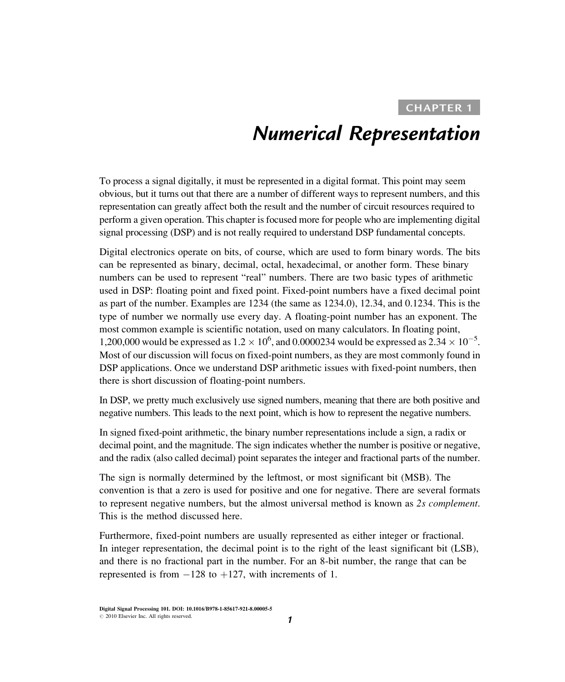## Numerical Representation

To process a signal digitally, it must be represented in a digital format. This point may seem obvious, but it turns out that there are a number of different ways to represent numbers, and this representation can greatly affect both the result and the number of circuit resources required to perform a given operation. This chapter is focused more for people who are implementing digital signal processing (DSP) and is not really required to understand DSP fundamental concepts.

Digital electronics operate on bits, of course, which are used to form binary words. The bits can be represented as binary, decimal, octal, hexadecimal, or another form. These binary numbers can be used to represent "real" numbers. There are two basic types of arithmetic used in DSP: floating point and fixed point. Fixed-point numbers have a fixed decimal point as part of the number. Examples are 1234 (the same as 1234.0), 12.34, and 0.1234. This is the type of number we normally use every day. A floating-point number has an exponent. The most common example is scientific notation, used on many calculators. In floating point, 1,200,000 would be expressed as  $1.2 \times 10^6$ , and 0.0000234 would be expressed as  $2.34 \times 10^{-5}$ . Most of our discussion will focus on fixed-point numbers, as they are most commonly found in DSP applications. Once we understand DSP arithmetic issues with fixed-point numbers, then there is short discussion of floating-point numbers.

In DSP, we pretty much exclusively use signed numbers, meaning that there are both positive and negative numbers. This leads to the next point, which is how to represent the negative numbers.

In signed fixed-point arithmetic, the binary number representations include a sign, a radix or decimal point, and the magnitude. The sign indicates whether the number is positive or negative, and the radix (also called decimal) point separates the integer and fractional parts of the number.

The sign is normally determined by the leftmost, or most significant bit (MSB). The convention is that a zero is used for positive and one for negative. There are several formats to represent negative numbers, but the almost universal method is known as 2s complement. This is the method discussed here.

Furthermore, fixed-point numbers are usually represented as either integer or fractional. In integer representation, the decimal point is to the right of the least significant bit (LSB), and there is no fractional part in the number. For an 8-bit number, the range that can be represented is from  $-128$  to  $+127$ , with increments of 1.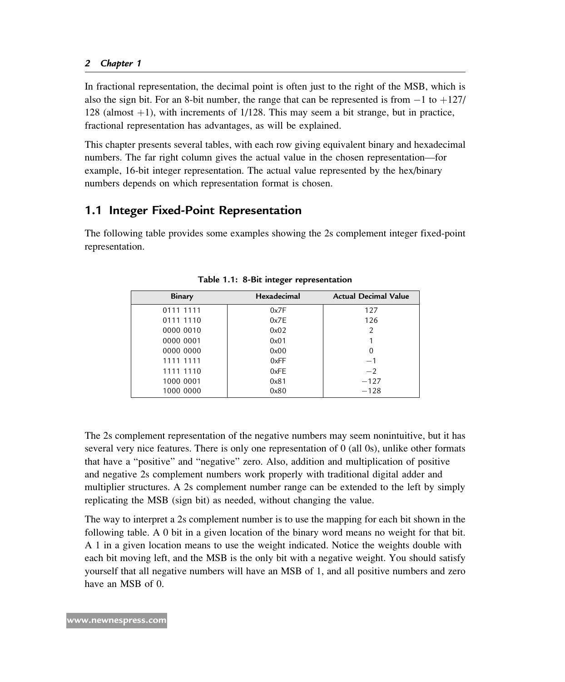In fractional representation, the decimal point is often just to the right of the MSB, which is also the sign bit. For an 8-bit number, the range that can be represented is from  $-1$  to  $+127/$ 128 (almost  $+1$ ), with increments of 1/128. This may seem a bit strange, but in practice, fractional representation has advantages, as will be explained.

This chapter presents several tables, with each row giving equivalent binary and hexadecimal numbers. The far right column gives the actual value in the chosen representation—for example, 16-bit integer representation. The actual value represented by the hex/binary numbers depends on which representation format is chosen.

## 1.1 Integer Fixed-Point Representation

The following table provides some examples showing the 2s complement integer fixed-point representation.

| <b>Binary</b> | Hexadecimal | <b>Actual Decimal Value</b> |
|---------------|-------------|-----------------------------|
| 0111 1111     | 0x7F        | 127                         |
| 0111 1110     | 0x7E        | 126                         |
| 0000 0010     | 0x02        | $\overline{2}$              |
| 0000 0001     | 0x01        |                             |
| 0000 0000     | 0x00        | 0                           |
| 1111 1111     | 0xFF        | $-1$                        |
| 1111 1110     | 0xFE        | $-2$                        |
| 1000 0001     | 0x81        | $-127$                      |
| 1000 0000     | 0x80        | $-128$                      |

Table 1.1: 8-Bit integer representation

The 2s complement representation of the negative numbers may seem nonintuitive, but it has several very nice features. There is only one representation of 0 (all 0s), unlike other formats that have a "positive" and "negative" zero. Also, addition and multiplication of positive and negative 2s complement numbers work properly with traditional digital adder and multiplier structures. A 2s complement number range can be extended to the left by simply replicating the MSB (sign bit) as needed, without changing the value.

The way to interpret a 2s complement number is to use the mapping for each bit shown in the following table. A 0 bit in a given location of the binary word means no weight for that bit. A 1 in a given location means to use the weight indicated. Notice the weights double with each bit moving left, and the MSB is the only bit with a negative weight. You should satisfy yourself that all negative numbers will have an MSB of 1, and all positive numbers and zero have an MSB of 0.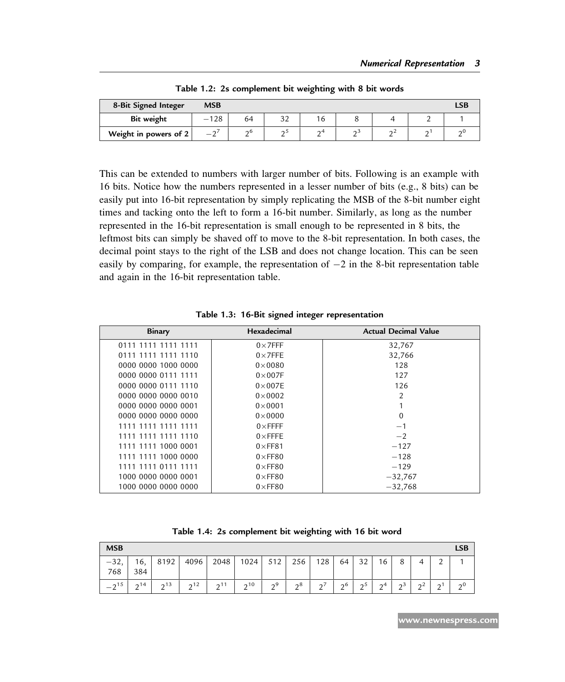| 8-Bit Signed Integer  | <b>MSB</b>   |          |           |             |    |                 |        |
|-----------------------|--------------|----------|-----------|-------------|----|-----------------|--------|
| Bit weight            | 128          | 64       | 20<br>ے ب | $\mathbf b$ |    |                 |        |
| Weight in powers of 2 | $\sim$<br>__ | $\sim$ D | ΩJ        | 64          | റാ | $\sim$ $\prime$ | $\sim$ |

Table 1.2: 2s complement bit weighting with 8 bit words

This can be extended to numbers with larger number of bits. Following is an example with 16 bits. Notice how the numbers represented in a lesser number of bits (e.g., 8 bits) can be easily put into 16-bit representation by simply replicating the MSB of the 8-bit number eight times and tacking onto the left to form a 16-bit number. Similarly, as long as the number represented in the 16-bit representation is small enough to be represented in 8 bits, the leftmost bits can simply be shaved off to move to the 8-bit representation. In both cases, the decimal point stays to the right of the LSB and does not change location. This can be seen easily by comparing, for example, the representation of  $-2$  in the 8-bit representation table and again in the 16-bit representation table.

| <b>Binary</b>       | Hexadecimal     | <b>Actual Decimal Value</b> |
|---------------------|-----------------|-----------------------------|
| 0111 1111 1111 1111 | $0\times$ 7FFF  | 32,767                      |
| 0111 1111 1111 1110 | $0\times$ 7FFE  | 32,766                      |
| 0000 0000 1000 0000 | $0 \times 0080$ | 128                         |
| 0000 0000 0111 1111 | $0\times 007F$  | 127                         |
| 0000 0000 0111 1110 | $0\times 007E$  | 126                         |
| 0000 0000 0000 0010 | $0 \times 0002$ | 2                           |
| 0000 0000 0000 0001 | $0\times 0001$  |                             |
| 0000 0000 0000 0000 | $0 \times 0000$ | $\Omega$                    |
| 1111 1111 1111 1111 | $0\times$ FFFF  | $-1$                        |
| 1111 1111 1111 1110 | $0\times$ FFFE  | $-2$                        |
| 1111 1111 1000 0001 | $0\times$ FF81  | $-127$                      |
| 1111 1111 1000 0000 | $0\times$ FF80  | $-128$                      |
| 1111 1111 0111 1111 | $0\times$ FF80  | $-129$                      |
| 1000 0000 0000 0001 | $0\times$ FF80  | $-32,767$                   |
| 1000 0000 0000 0000 | $0\times$ FF80  | $-32,768$                   |

Table 1.3: 16-Bit signed integer representation

| Table 1.4: 2s complement bit weighting with 16 bit word |  |  |  |  |  |  |  |  |
|---------------------------------------------------------|--|--|--|--|--|--|--|--|
|---------------------------------------------------------|--|--|--|--|--|--|--|--|

| <b>MSB</b>                            |            |           |                 |      |           |          |                     |        |               |                      |                 |                     |               |             | LSB      |
|---------------------------------------|------------|-----------|-----------------|------|-----------|----------|---------------------|--------|---------------|----------------------|-----------------|---------------------|---------------|-------------|----------|
| $-32,$<br>768                         | 16,<br>384 | 8192      | 4096            | 2048 | 1024      | 512      | 256                 | 128    | 64            | 32                   | 16              | 8                   | 4             | $\sim$      |          |
| $\sim$ 15<br>$\overline{\phantom{0}}$ | $\sim$ 14  | $\sim$ 13 | 2 <sub>12</sub> | 0.11 | $\sim$ 10 | $\sim$ 9 | $\neg$ <sup>8</sup> | $\sim$ | $\mathcal{L}$ | $\mathcal{D}^5$<br>- | $\mathcal{D}^4$ | $\sim$ <sup>3</sup> | $\sim$ 2<br>- | $\sim$<br>∼ | $\sim 0$ |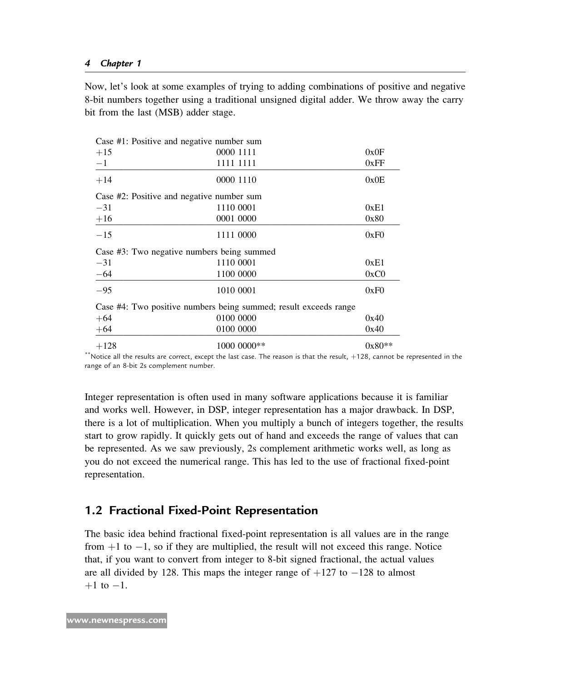Now, let's look at some examples of trying to adding combinations of positive and negative 8-bit numbers together using a traditional unsigned digital adder. We throw away the carry bit from the last (MSB) adder stage.

| Case #1: Positive and negative number sum |                                                                  |          |
|-------------------------------------------|------------------------------------------------------------------|----------|
| $+15$                                     | 0000 1111                                                        | 0x0F     |
| $-1$                                      | 1111 1111                                                        | 0xFF     |
| $+14$                                     | 0000 1110                                                        | 0x0E     |
| Case #2: Positive and negative number sum |                                                                  |          |
| $-31$                                     | 1110 0001                                                        | 0xE1     |
| $+16$                                     | 0001 0000                                                        | 0x80     |
| $-15$                                     | 1111 0000                                                        | 0xF0     |
|                                           | Case #3: Two negative numbers being summed                       |          |
| $-31$                                     | 1110 0001                                                        | 0xE1     |
| $-64$                                     | 1100 0000                                                        | 0xC0     |
| $-95$                                     | 1010 0001                                                        | 0xF0     |
|                                           | Case #4: Two positive numbers being summed; result exceeds range |          |
| $+64$                                     | 0100 0000                                                        | 0x40     |
| $+64$                                     | 0100 0000                                                        | 0x40     |
| $+128$                                    | 1000 0000**                                                      | $0x80**$ |

 $*$  Notice all the results are correct, except the last case. The reason is that the result,  $+128$ , cannot be represented in the range of an 8-bit 2s complement number.

Integer representation is often used in many software applications because it is familiar and works well. However, in DSP, integer representation has a major drawback. In DSP, there is a lot of multiplication. When you multiply a bunch of integers together, the results start to grow rapidly. It quickly gets out of hand and exceeds the range of values that can be represented. As we saw previously, 2s complement arithmetic works well, as long as you do not exceed the numerical range. This has led to the use of fractional fixed-point representation.

## 1.2 Fractional Fixed-Point Representation

The basic idea behind fractional fixed-point representation is all values are in the range from  $+1$  to  $-1$ , so if they are multiplied, the result will not exceed this range. Notice that, if you want to convert from integer to 8-bit signed fractional, the actual values are all divided by 128. This maps the integer range of  $+127$  to  $-128$  to almost  $+1$  to  $-1$ .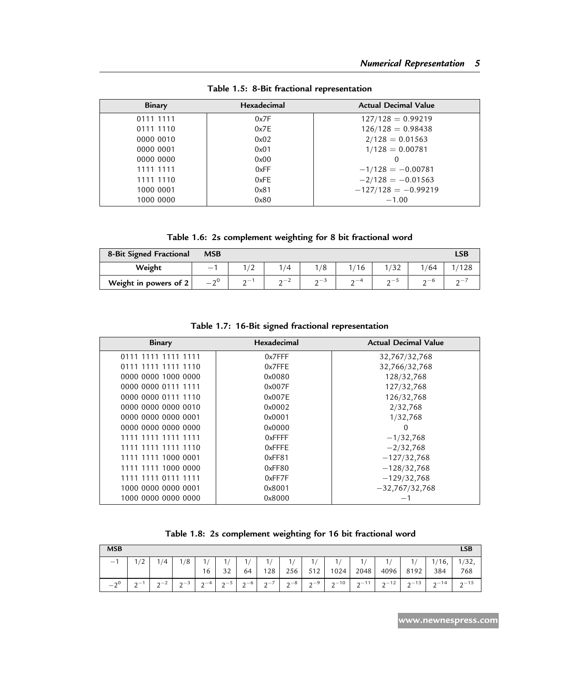| Binary    | <b>Hexadecimal</b> | <b>Actual Decimal Value</b> |
|-----------|--------------------|-----------------------------|
| 0111 1111 | 0x7F               | $127/128 = 0.99219$         |
| 0111 1110 | 0x7E               | $126/128 = 0.98438$         |
| 0000 0010 | 0x02               | $2/128 = 0.01563$           |
| 0000 0001 | 0x01               | $1/128 = 0.00781$           |
| 0000 0000 | 0x00               |                             |
| 1111 1111 | 0xFF               | $-1/128 = -0.00781$         |
| 1111 1110 | 0xFE               | $-2/128 = -0.01563$         |
| 1000 0001 | 0x81               | $-127/128 = -0.99219$       |
| 1000 0000 | 0x80               | $-1.00$                     |

Table 1.5: 8-Bit fractional representation

Table 1.6: 2s complement weighting for 8 bit fractional word

| 8-Bit Signed Fractional | <b>MSB</b>      |               |    |                                       |           |               |           | LSB        |
|-------------------------|-----------------|---------------|----|---------------------------------------|-----------|---------------|-----------|------------|
| Weight                  | $\sim$          | -             | /4 | 1/8                                   | 16        | '32'          | 1/64      |            |
| Weight in powers of 2   | $\sim 0$<br>— 1 | $\sim -$<br>∽ | ∸  | $\mathsf{a}\mathsf{a}\mathsf{a}$<br>∸ | $\sim -4$ | $\sim$ $\sim$ | $\sim -b$ | $\sim$ $-$ |

Table 1.7: 16-Bit signed fractional representation

| <b>Binary</b>       | Hexadecimal | <b>Actual Decimal Value</b> |
|---------------------|-------------|-----------------------------|
| 0111 1111 1111 1111 | $0x7$ FFF   | 32,767/32,768               |
| 0111 1111 1111 1110 | $0x7$ FFE   | 32,766/32,768               |
| 0000 0000 1000 0000 | 0x0080      | 128/32,768                  |
| 0000 0000 0111 1111 | 0x007F      | 127/32,768                  |
| 0000 0000 0111 1110 | 0x007E      | 126/32,768                  |
| 0000 0000 0000 0010 | 0x0002      | 2/32,768                    |
| 0000 0000 0000 0001 | 0x0001      | 1/32,768                    |
| 0000 0000 0000 0000 | 0x0000      | $\Omega$                    |
| 1111 1111 1111 1111 | $0x$ FFFF   | $-1/32,768$                 |
| 1111 1111 1111 1110 | $0x$ FFFE   | $-2/32,768$                 |
| 1111 1111 1000 0001 | 0xFF81      | $-127/32,768$               |
| 1111 1111 1000 0000 | 0xFF80      | $-128/32,768$               |
| 1111 1111 0111 1111 | 0xFF7F      | $-129/32,768$               |
| 1000 0000 0000 0001 | 0x8001      | $-32,767/32,768$            |
| 1000 0000 0000 0000 | 0x8000      |                             |

| Table 1.8: 2s complement weighting for 16 bit fractional word |
|---------------------------------------------------------------|
|---------------------------------------------------------------|

| <b>MSB</b> |          |       |       |          |          |          |           |            |               |            |                |            |               |                 | LSB          |
|------------|----------|-------|-------|----------|----------|----------|-----------|------------|---------------|------------|----------------|------------|---------------|-----------------|--------------|
| $-1$       | 1/2<br>∼ | 1/4   | 1/8   | 1/<br>16 | 11<br>32 | 1/<br>64 | 1/<br>128 | 1/<br>256  | 1/<br>512     | 1/<br>1024 | 1/<br>2048     | 1/<br>4096 | 8192          | $1/16$ ,<br>384 | 1/32,<br>768 |
| $-2^0$     | $\sim$   | $n-2$ | $n-3$ | $n-4$    | $n-5$    | $n - 6$  | $n-7$     | $2^{\sim}$ | $2^{-9}$<br>∸ | $2^{-10}$  | $2^{\sim}$ -11 | $2^{-12}$  | $2^{\sim}$ 13 | $n - 14$        | $n - 15$     |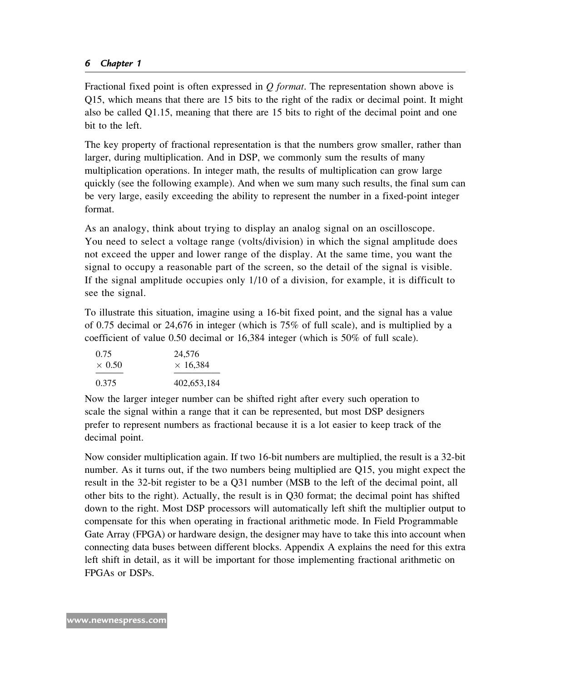Fractional fixed point is often expressed in  $O$  format. The representation shown above is Q15, which means that there are 15 bits to the right of the radix or decimal point. It might also be called Q1.15, meaning that there are 15 bits to right of the decimal point and one bit to the left.

The key property of fractional representation is that the numbers grow smaller, rather than larger, during multiplication. And in DSP, we commonly sum the results of many multiplication operations. In integer math, the results of multiplication can grow large quickly (see the following example). And when we sum many such results, the final sum can be very large, easily exceeding the ability to represent the number in a fixed-point integer format.

As an analogy, think about trying to display an analog signal on an oscilloscope. You need to select a voltage range (volts/division) in which the signal amplitude does not exceed the upper and lower range of the display. At the same time, you want the signal to occupy a reasonable part of the screen, so the detail of the signal is visible. If the signal amplitude occupies only 1/10 of a division, for example, it is difficult to see the signal.

To illustrate this situation, imagine using a 16-bit fixed point, and the signal has a value of 0.75 decimal or 24,676 in integer (which is 75% of full scale), and is multiplied by a coefficient of value 0.50 decimal or 16,384 integer (which is 50% of full scale).

| 0.75          | 24,576          |
|---------------|-----------------|
| $\times$ 0.50 | $\times$ 16.384 |
| 0.375         | 402,653,184     |

Now the larger integer number can be shifted right after every such operation to scale the signal within a range that it can be represented, but most DSP designers prefer to represent numbers as fractional because it is a lot easier to keep track of the decimal point.

Now consider multiplication again. If two 16-bit numbers are multiplied, the result is a 32-bit number. As it turns out, if the two numbers being multiplied are Q15, you might expect the result in the 32-bit register to be a Q31 number (MSB to the left of the decimal point, all other bits to the right). Actually, the result is in Q30 format; the decimal point has shifted down to the right. Most DSP processors will automatically left shift the multiplier output to compensate for this when operating in fractional arithmetic mode. In Field Programmable Gate Array (FPGA) or hardware design, the designer may have to take this into account when connecting data buses between different blocks. Appendix A explains the need for this extra left shift in detail, as it will be important for those implementing fractional arithmetic on FPGAs or DSPs.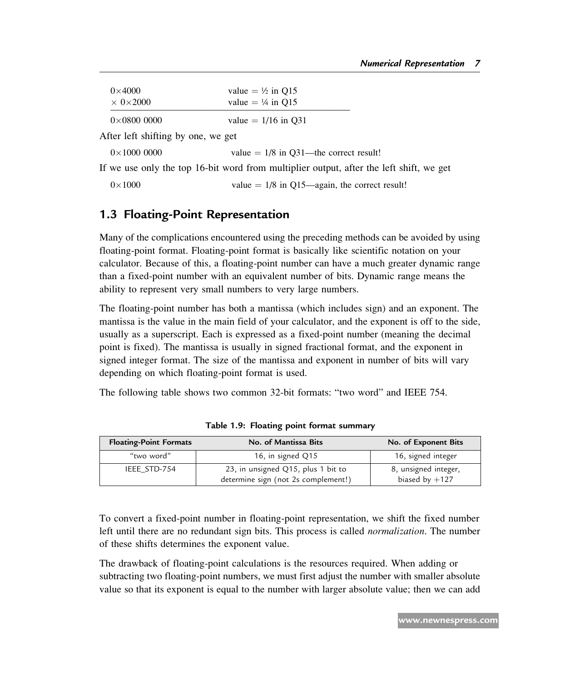| $0\times4000$            | value $= \frac{1}{2}$ in O15 |  |
|--------------------------|------------------------------|--|
| $\times$ 0 $\times$ 2000 | value = $\frac{1}{4}$ in O15 |  |
| $0\times 0800$ 0000      | value = $1/16$ in Q31        |  |

After left shifting by one, we get

 $0 \times 1000 0000$  value = 1/8 in Q31—the correct result!

If we use only the top 16-bit word from multiplier output, after the left shift, we get

 $0 \times 1000$  value = 1/8 in Q15—again, the correct result!

## 1.3 Floating-Point Representation

Many of the complications encountered using the preceding methods can be avoided by using floating-point format. Floating-point format is basically like scientific notation on your calculator. Because of this, a floating-point number can have a much greater dynamic range than a fixed-point number with an equivalent number of bits. Dynamic range means the ability to represent very small numbers to very large numbers.

The floating-point number has both a mantissa (which includes sign) and an exponent. The mantissa is the value in the main field of your calculator, and the exponent is off to the side, usually as a superscript. Each is expressed as a fixed-point number (meaning the decimal point is fixed). The mantissa is usually in signed fractional format, and the exponent in signed integer format. The size of the mantissa and exponent in number of bits will vary depending on which floating-point format is used.

The following table shows two common 32-bit formats: "two word" and IEEE 754.

| <b>Floating-Point Formats</b> | No. of Mantissa Bits                                                      | No. of Exponent Bits                     |
|-------------------------------|---------------------------------------------------------------------------|------------------------------------------|
| "two word"                    | 16, in signed Q15                                                         | 16, signed integer                       |
| IEEE STD-754                  | 23, in unsigned Q15, plus 1 bit to<br>determine sign (not 2s complement!) | 8, unsigned integer,<br>biased by $+127$ |

Table 1.9: Floating point format summary

To convert a fixed-point number in floating-point representation, we shift the fixed number left until there are no redundant sign bits. This process is called *normalization*. The number of these shifts determines the exponent value.

The drawback of floating-point calculations is the resources required. When adding or subtracting two floating-point numbers, we must first adjust the number with smaller absolute value so that its exponent is equal to the number with larger absolute value; then we can add